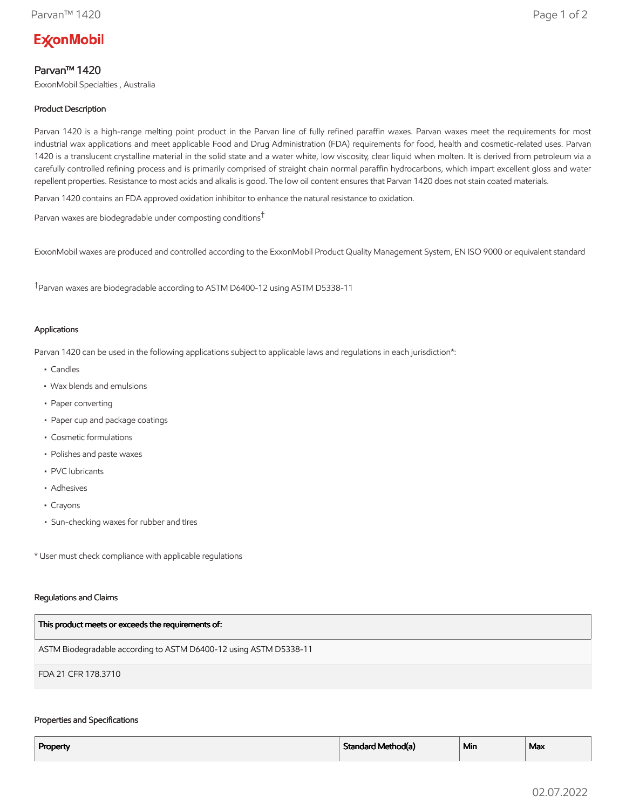# **ExconMobil**

# Parvan™ 1420

ExxonMobil Specialties , Australia

# Product Description

Parvan 1420 is a high-range melting point product in the Parvan line of fully refined paraffin waxes. Parvan waxes meet the requirements for most industrial wax applications and meet applicable Food and Drug Administration (FDA) requirements for food, health and cosmetic-related uses. Parvan 1420 is a translucent crystalline material in the solid state and a water white, low viscosity, clear liquid when molten. It is derived from petroleum via a carefully controlled refining process and is primarily comprised of straight chain normal paraffin hydrocarbons, which impart excellent gloss and water repellent properties. Resistance to most acids and alkalis is good. The low oil content ensures that Parvan 1420 does not stain coated materials.

Parvan 1420 contains an FDA approved oxidation inhibitor to enhance the natural resistance to oxidation.

Parvan waxes are biodegradable under composting conditions†

ExxonMobil waxes are produced and controlled according to the ExxonMobil Product Quality Management System, EN ISO 9000 or equivalent standard

†Parvan waxes are biodegradable according to ASTM D6400-12 using ASTM D5338-11

## Applications

Parvan 1420 can be used in the following applications subject to applicable laws and regulations in each jurisdiction\*:

- Candles
- Wax blends and emulsions
- Paper converting
- Paper cup and package coatings
- Cosmetic formulations
- Polishes and paste waxes
- PVC lubricants
- Adhesives
- Crayons
- Sun-checking waxes for rubber and tIres

\* User must check compliance with applicable regulations

#### Regulations and Claims

| This product meets or exceeds the requirements of:                |
|-------------------------------------------------------------------|
| ASTM Biodegradable according to ASTM D6400-12 using ASTM D5338-11 |
| FDA 21 CFR 178.3710                                               |

#### Properties and Specifications

| Property | Standard Method(a) | <sup>⊥</sup> Min | Max |
|----------|--------------------|------------------|-----|
|          |                    |                  |     |